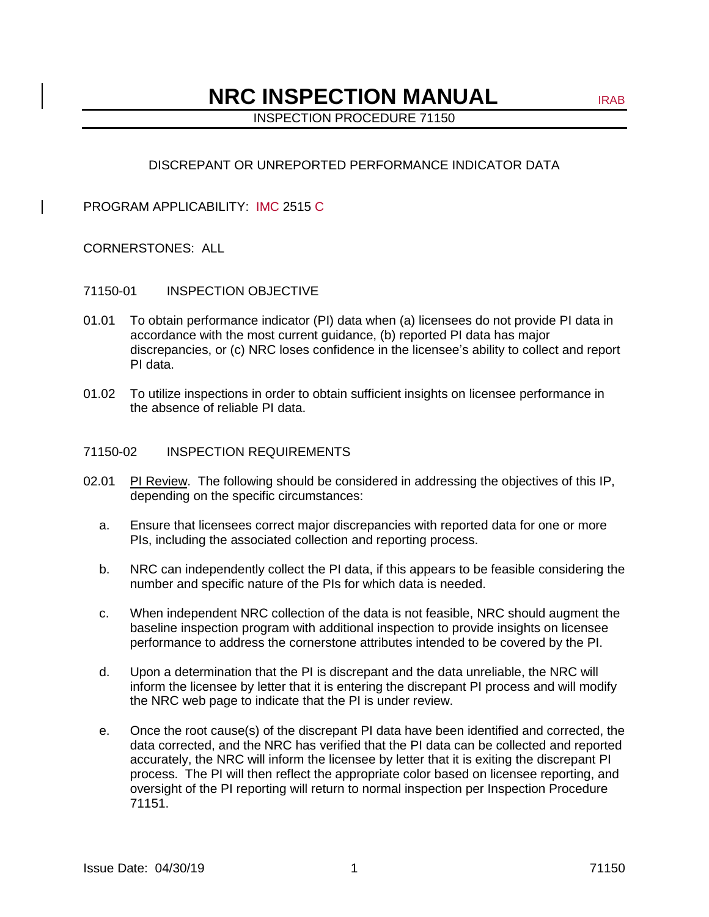# **NRC INSPECTION MANUAL** IRAB

INSPECTION PROCEDURE 71150

# DISCREPANT OR UNREPORTED PERFORMANCE INDICATOR DATA

PROGRAM APPLICABILITY: IMC 2515 C

### CORNERSTONES: ALL

### 71150-01 INSPECTION OBJECTIVE

- 01.01 To obtain performance indicator (PI) data when (a) licensees do not provide PI data in accordance with the most current guidance, (b) reported PI data has major discrepancies, or (c) NRC loses confidence in the licensee's ability to collect and report PI data.
- 01.02 To utilize inspections in order to obtain sufficient insights on licensee performance in the absence of reliable PI data.

#### 71150-02 INSPECTION REQUIREMENTS

- 02.01 PI Review. The following should be considered in addressing the objectives of this IP, depending on the specific circumstances:
	- a. Ensure that licensees correct major discrepancies with reported data for one or more PIs, including the associated collection and reporting process.
	- b. NRC can independently collect the PI data, if this appears to be feasible considering the number and specific nature of the PIs for which data is needed.
	- c. When independent NRC collection of the data is not feasible, NRC should augment the baseline inspection program with additional inspection to provide insights on licensee performance to address the cornerstone attributes intended to be covered by the PI.
	- d. Upon a determination that the PI is discrepant and the data unreliable, the NRC will inform the licensee by letter that it is entering the discrepant PI process and will modify the NRC web page to indicate that the PI is under review.
	- e. Once the root cause(s) of the discrepant PI data have been identified and corrected, the data corrected, and the NRC has verified that the PI data can be collected and reported accurately, the NRC will inform the licensee by letter that it is exiting the discrepant PI process. The PI will then reflect the appropriate color based on licensee reporting, and oversight of the PI reporting will return to normal inspection per Inspection Procedure 71151.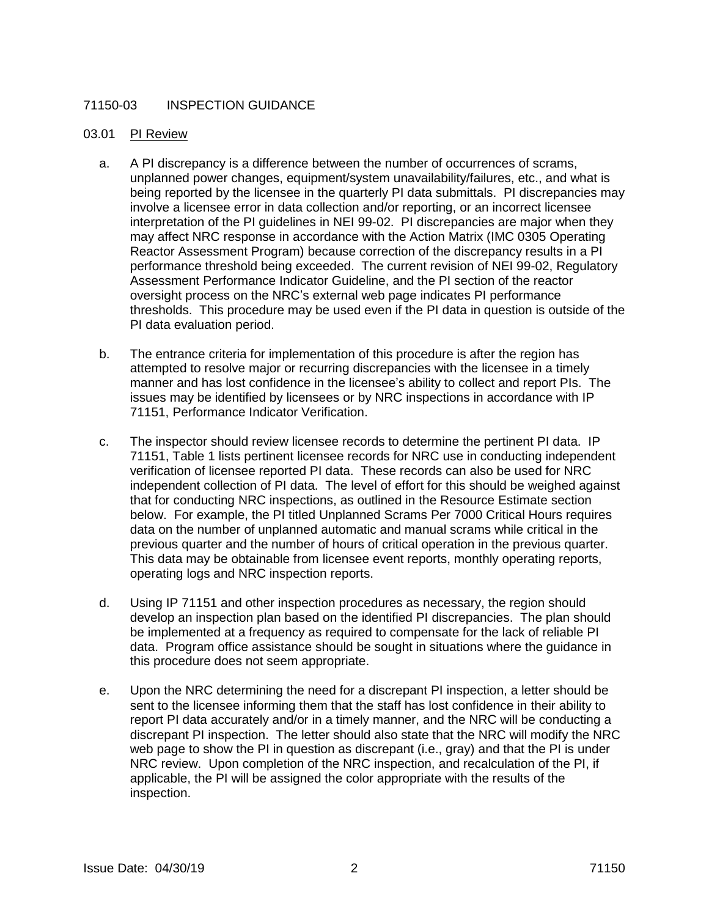# 71150-03 INSPECTION GUIDANCE

#### 03.01 PI Review

- a. A PI discrepancy is a difference between the number of occurrences of scrams, unplanned power changes, equipment/system unavailability/failures, etc., and what is being reported by the licensee in the quarterly PI data submittals. PI discrepancies may involve a licensee error in data collection and/or reporting, or an incorrect licensee interpretation of the PI guidelines in NEI 99-02. PI discrepancies are major when they may affect NRC response in accordance with the Action Matrix (IMC 0305 Operating Reactor Assessment Program) because correction of the discrepancy results in a PI performance threshold being exceeded. The current revision of NEI 99-02, Regulatory Assessment Performance Indicator Guideline, and the PI section of the reactor oversight process on the NRC's external web page indicates PI performance thresholds. This procedure may be used even if the PI data in question is outside of the PI data evaluation period.
- b. The entrance criteria for implementation of this procedure is after the region has attempted to resolve major or recurring discrepancies with the licensee in a timely manner and has lost confidence in the licensee's ability to collect and report PIs. The issues may be identified by licensees or by NRC inspections in accordance with IP 71151, Performance Indicator Verification.
- c. The inspector should review licensee records to determine the pertinent PI data. IP 71151, Table 1 lists pertinent licensee records for NRC use in conducting independent verification of licensee reported PI data. These records can also be used for NRC independent collection of PI data. The level of effort for this should be weighed against that for conducting NRC inspections, as outlined in the Resource Estimate section below. For example, the PI titled Unplanned Scrams Per 7000 Critical Hours requires data on the number of unplanned automatic and manual scrams while critical in the previous quarter and the number of hours of critical operation in the previous quarter. This data may be obtainable from licensee event reports, monthly operating reports, operating logs and NRC inspection reports.
- d. Using IP 71151 and other inspection procedures as necessary, the region should develop an inspection plan based on the identified PI discrepancies. The plan should be implemented at a frequency as required to compensate for the lack of reliable PI data. Program office assistance should be sought in situations where the guidance in this procedure does not seem appropriate.
- e. Upon the NRC determining the need for a discrepant PI inspection, a letter should be sent to the licensee informing them that the staff has lost confidence in their ability to report PI data accurately and/or in a timely manner, and the NRC will be conducting a discrepant PI inspection. The letter should also state that the NRC will modify the NRC web page to show the PI in question as discrepant (i.e., gray) and that the PI is under NRC review. Upon completion of the NRC inspection, and recalculation of the PI, if applicable, the PI will be assigned the color appropriate with the results of the inspection.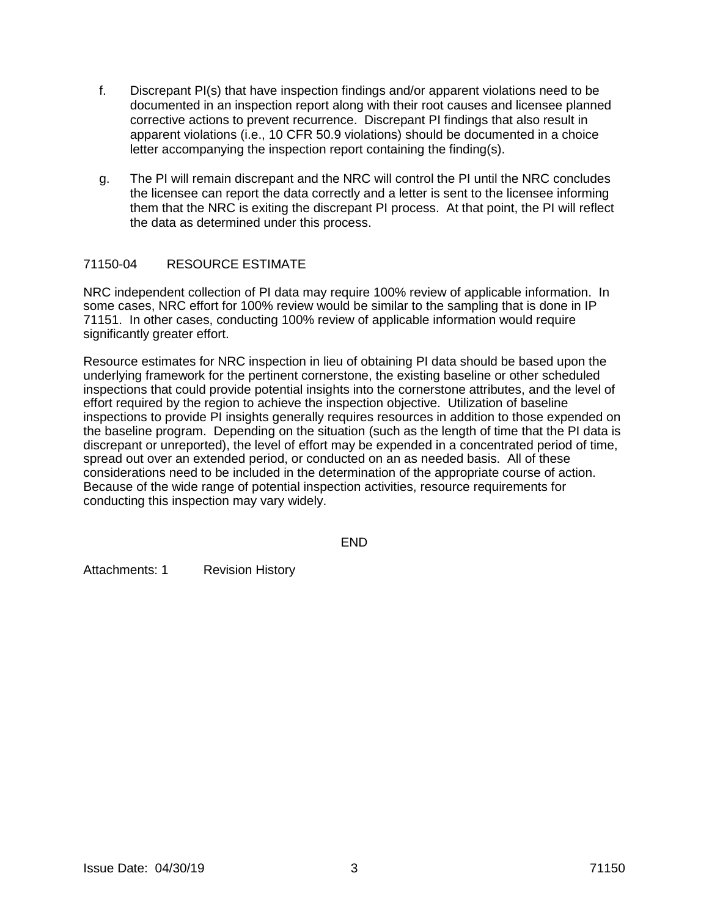- f. Discrepant PI(s) that have inspection findings and/or apparent violations need to be documented in an inspection report along with their root causes and licensee planned corrective actions to prevent recurrence. Discrepant PI findings that also result in apparent violations (i.e., 10 CFR 50.9 violations) should be documented in a choice letter accompanying the inspection report containing the finding(s).
- g. The PI will remain discrepant and the NRC will control the PI until the NRC concludes the licensee can report the data correctly and a letter is sent to the licensee informing them that the NRC is exiting the discrepant PI process. At that point, the PI will reflect the data as determined under this process.

## 71150-04 RESOURCE ESTIMATE

NRC independent collection of PI data may require 100% review of applicable information. In some cases, NRC effort for 100% review would be similar to the sampling that is done in IP 71151. In other cases, conducting 100% review of applicable information would require significantly greater effort.

Resource estimates for NRC inspection in lieu of obtaining PI data should be based upon the underlying framework for the pertinent cornerstone, the existing baseline or other scheduled inspections that could provide potential insights into the cornerstone attributes, and the level of effort required by the region to achieve the inspection objective. Utilization of baseline inspections to provide PI insights generally requires resources in addition to those expended on the baseline program. Depending on the situation (such as the length of time that the PI data is discrepant or unreported), the level of effort may be expended in a concentrated period of time, spread out over an extended period, or conducted on an as needed basis. All of these considerations need to be included in the determination of the appropriate course of action. Because of the wide range of potential inspection activities, resource requirements for conducting this inspection may vary widely.

END

Attachments: 1 Revision History